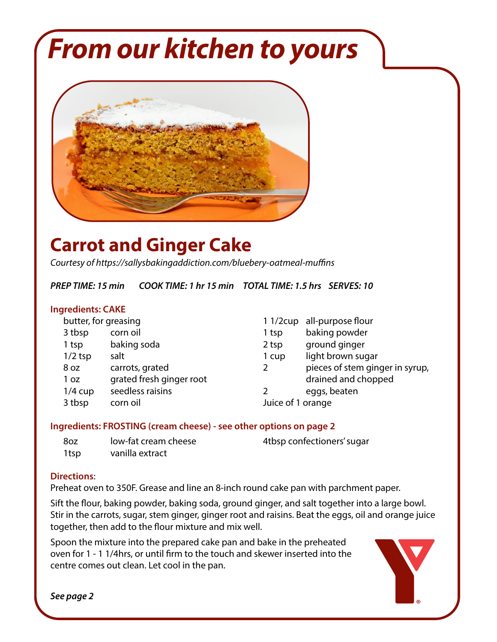# *From our kitchen to yours*



## **Carrot and Ginger Cake**

*Courtesy of https://sallysbakingaddiction.com/bluebery-oatmeal-muffins*

*PREP TIME: 15 min COOK TIME: 1 hr 15 min TOTAL TIME: 1.5 hrs SERVES: 10*

#### **Ingredients: CAKE**

| butter, for greasing |                          |                   | 1 1/2cup all-purpose flour      |
|----------------------|--------------------------|-------------------|---------------------------------|
| 3 tbsp               | corn oil                 | 1 tsp             | baking powder                   |
| 1 tsp                | baking soda              | 2 tsp             | ground ginger                   |
| $1/2$ tsp            | salt                     | 1 cup             | light brown sugar               |
| 8 oz                 | carrots, grated          | 2                 | pieces of stem ginger in syrup, |
| 1 <sub>oz</sub>      | grated fresh ginger root |                   | drained and chopped             |
| $1/4$ cup            | seedless raisins         |                   | eggs, beaten                    |
| 3 tbsp               | corn oil                 | Juice of 1 orange |                                 |

#### **Ingredients: FROSTING (cream cheese) - see other options on page 2**

| -8oz | low-fat cream cheese | 4tbsp confectioners' sugar |
|------|----------------------|----------------------------|
| 1tsp | vanilla extract      |                            |

#### **Directions**:

Preheat oven to 350F. Grease and line an 8-inch round cake pan with parchment paper.

Sift the flour, baking powder, baking soda, ground ginger, and salt together into a large bowl. Stir in the carrots, sugar, stem ginger, ginger root and raisins. Beat the eggs, oil and orange juice together, then add to the flour mixture and mix well.

Spoon the mixture into the prepared cake pan and bake in the preheated oven for 1 - 1 1/4hrs, or until firm to the touch and skewer inserted into the centre comes out clean. Let cool in the pan.



*See page 2*